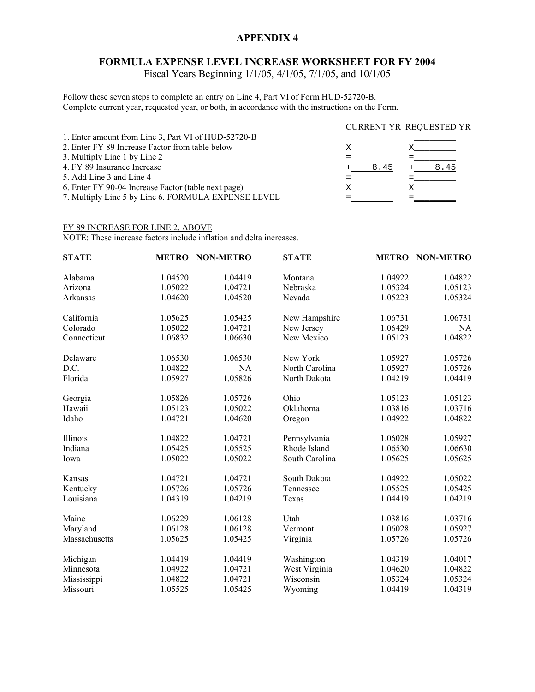## **APPENDIX 4**

## **FORMULA EXPENSE LEVEL INCREASE WORKSHEET FOR FY 2004**

Fiscal Years Beginning 1/1/05, 4/1/05, 7/1/05, and 10/1/05

Follow these seven steps to complete an entry on Line 4, Part VI of Form HUD-52720-B. Complete current year, requested year, or both, in accordance with the instructions on the Form.

|                                                     | <b>CURRENT YR REQUESTED YR</b> |      |  |
|-----------------------------------------------------|--------------------------------|------|--|
| 1. Enter amount from Line 3, Part VI of HUD-52720-B |                                |      |  |
| 2. Enter FY 89 Increase Factor from table below     |                                |      |  |
| 3. Multiply Line 1 by Line 2                        |                                |      |  |
| 4. FY 89 Insurance Increase                         | 8.45                           | 8.45 |  |
| 5. Add Line 3 and Line 4                            |                                |      |  |
| 6. Enter FY 90-04 Increase Factor (table next page) |                                |      |  |
| 7. Multiply Line 5 by Line 6. FORMULA EXPENSE LEVEL |                                |      |  |

#### FY 89 INCREASE FOR LINE 2, ABOVE

NOTE: These increase factors include inflation and delta increases.

| <b>STATE</b>  | <b>METRO</b> | <b>NON-METRO</b> | <b>STATE</b>   | <b>METRO</b> | <b>NON-METRO</b> |
|---------------|--------------|------------------|----------------|--------------|------------------|
| Alabama       | 1.04520      | 1.04419          | Montana        | 1.04922      | 1.04822          |
| Arizona       | 1.05022      | 1.04721          | Nebraska       | 1.05324      | 1.05123          |
| Arkansas      | 1.04620      | 1.04520          | Nevada         | 1.05223      | 1.05324          |
| California    | 1.05625      | 1.05425          | New Hampshire  | 1.06731      | 1.06731          |
| Colorado      | 1.05022      | 1.04721          | New Jersey     | 1.06429      | <b>NA</b>        |
| Connecticut   | 1.06832      | 1.06630          | New Mexico     | 1.05123      | 1.04822          |
| Delaware      | 1.06530      | 1.06530          | New York       | 1.05927      | 1.05726          |
| D.C.          | 1.04822      | <b>NA</b>        | North Carolina | 1.05927      | 1.05726          |
| Florida       | 1.05927      | 1.05826          | North Dakota   | 1.04219      | 1.04419          |
| Georgia       | 1.05826      | 1.05726          | Ohio           | 1.05123      | 1.05123          |
| Hawaii        | 1.05123      | 1.05022          | Oklahoma       | 1.03816      | 1.03716          |
| Idaho         | 1.04721      | 1.04620          | Oregon         | 1.04922      | 1.04822          |
| Illinois      | 1.04822      | 1.04721          | Pennsylvania   | 1.06028      | 1.05927          |
| Indiana       | 1.05425      | 1.05525          | Rhode Island   | 1.06530      | 1.06630          |
| Iowa          | 1.05022      | 1.05022          | South Carolina | 1.05625      | 1.05625          |
| Kansas        | 1.04721      | 1.04721          | South Dakota   | 1.04922      | 1.05022          |
| Kentucky      | 1.05726      | 1.05726          | Tennessee      | 1.05525      | 1.05425          |
| Louisiana     | 1.04319      | 1.04219          | Texas          | 1.04419      | 1.04219          |
| Maine         | 1.06229      | 1.06128          | Utah           | 1.03816      | 1.03716          |
| Maryland      | 1.06128      | 1.06128          | Vermont        | 1.06028      | 1.05927          |
| Massachusetts | 1.05625      | 1.05425          | Virginia       | 1.05726      | 1.05726          |
| Michigan      | 1.04419      | 1.04419          | Washington     | 1.04319      | 1.04017          |
| Minnesota     | 1.04922      | 1.04721          | West Virginia  | 1.04620      | 1.04822          |
| Mississippi   | 1.04822      | 1.04721          | Wisconsin      | 1.05324      | 1.05324          |
| Missouri      | 1.05525      | 1.05425          | Wyoming        | 1.04419      | 1.04319          |